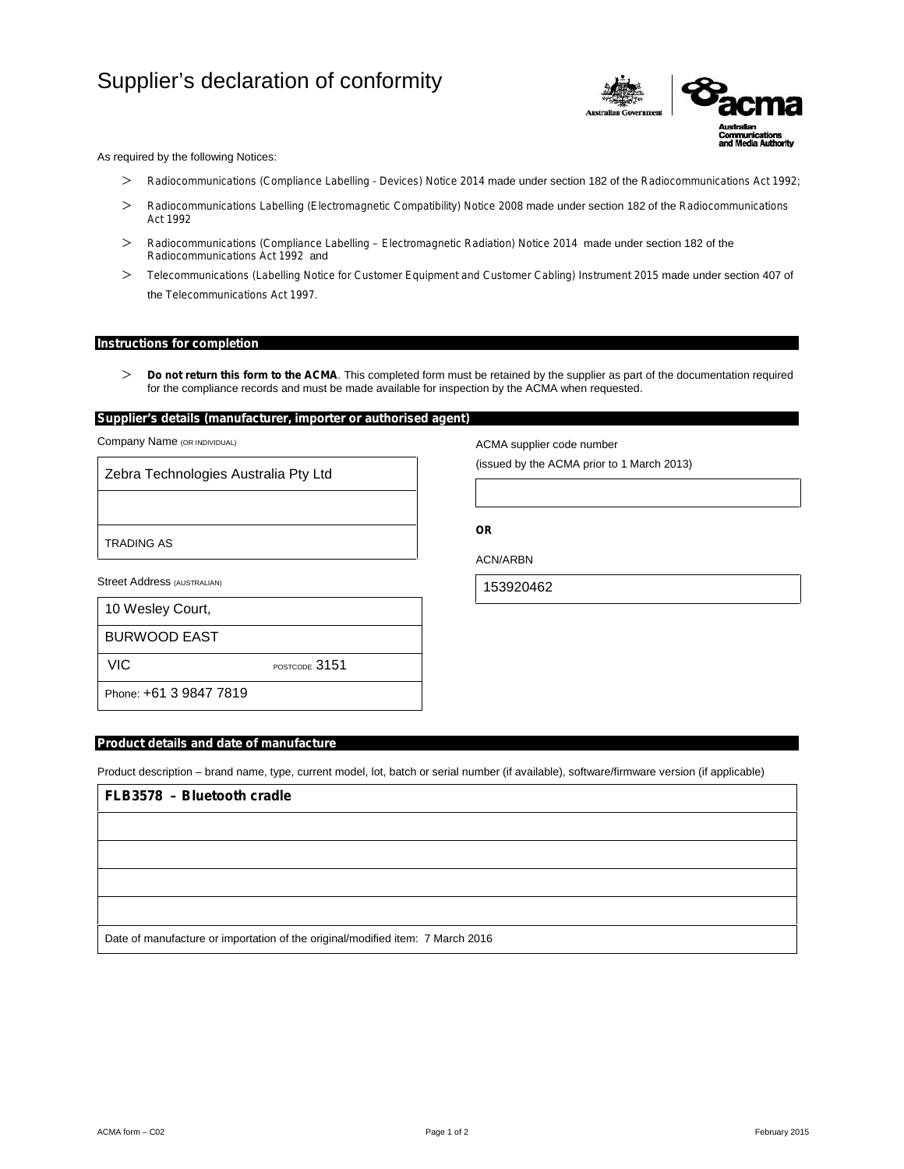# Supplier's declaration of conformity



As required by the following Notices:

- *Radiocommunications (Compliance Labelling - Devices) Notice 2014* made under section 182 of the *Radiocommunications Act 1992*;
- *Radiocommunications Labelling (Electromagnetic Compatibility) Notice 2008* made under section 182 of the *Radiocommunications Act 1992*
- *Radiocommunications (Compliance Labelling – Electromagnetic Radiation) Notice <sup>2014</sup>* made under section 182 of the *Radiocommunications Act 1992* and
- *Telecommunications (Labelling Notice for Customer Equipment and Customer Cabling) Instrument 2015* made under section 407 of the *Telecommunications Act 1997*.

## **Instructions for completion**

 *Do not return this form to the ACMA*. This completed form must be retained by the supplier as part of the documentation required for the compliance records and must be made available for inspection by the ACMA when requested.

## **Supplier's details (manufacturer, importer or authorised agent)**

Company Name (OR INDIVIDUAL)

Zebra Technologies Australia Pty Ltd

TRADING AS

Street Address (AUSTRALIAN)

| 10 Wesley Court,       |               |
|------------------------|---------------|
| BURWOOD EAST           |               |
| VIC.                   | POSTCODE 3151 |
| Phone: +61 3 9847 7819 |               |

ACMA supplier code number

(issued by the ACMA prior to 1 March 2013)

**OR**

ACN/ARBN

153920462

**Product details and date of manufacture**

Product description – brand name, type, current model, lot, batch or serial number (if available), software/firmware version (if applicable)

| FLB3578 - Bluetooth cradle                                                     |  |  |  |  |  |  |
|--------------------------------------------------------------------------------|--|--|--|--|--|--|
|                                                                                |  |  |  |  |  |  |
|                                                                                |  |  |  |  |  |  |
|                                                                                |  |  |  |  |  |  |
|                                                                                |  |  |  |  |  |  |
| Date of manufacture or importation of the original/modified item: 7 March 2016 |  |  |  |  |  |  |